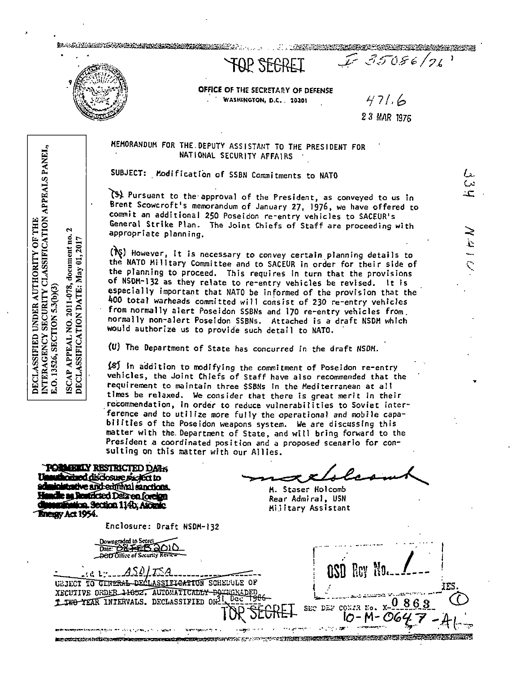to a line the complete through the complete the contract of

OFFICE OF THE SECRETARY OF DEFENSE WASHINGTON, D.C. 20301

AP SFEREI

 $471.6$ 2 3 MAR 1976

L.  $\overline{\mathcal{C}}$  $\mathbf{r}$ 

 $\frac{1}{2}$ 

 $E35086/26$ 

#### MEMORANDUM FOR THE DEPUTY ASSISTANT TO THE PRESIDENT FOR NATIONAL SECURITY AFFAIRS

SUBJECT: Modification of SSBN Commitments to NATO

(5) Pursuant to the approval of the President, as conveyed to us in Brent Scowcroft's memorandum of January 27, 1976, we have offered to commit an additional 250 Poseidon re-entry vehicles to SACEUR's General Strike Plan. The Joint Chiefs of Staff are proceeding with appropriate planning.

(i) However, it is necessary to convey certain planning details to the NATO Military Committee and to SACEUR in order for their side of the planning to proceed. This requires in turn that the provisions of NSDM-132 as they relate to re-entry vehicles be revised. It is especially important that NATO be informed of the provision that the 400 total warheads committed will consist of 230 re-entry vehicles from normally alert Poseidon SSBNs and 170 re-entry vehicles from. normally non-alert Poseidon SSBNs. Attached is a draft NSDM which would authorize us to provide such detail to NATO.

(U) The Department of State has concurred in the draft NSDM.

 $\sim$  and  $\sim$ **reproduced de la component de la componentación de la componentación de la componentación de la componentación** 

(8) In addition to modifying the commitment of Poseidon re-entry vehicles, the Joint Chiefs of Staff have also recommended that the requirement to maintain three SSBNs in the Mediterranean at all times be relaxed. We consider that there is great merit in their recommendation, in order to reduce vulnerabilities to Soviet interference and to utilize more fully the operational and mobile capabilities of the Poseidon weapons system. We are discussing this matter with the Department of State, and will bring forward to the President a coordinated position and a proposed scenario for consulting on this matter with our Allies.

**POBMETLY RESTRICTED DARK** thorized disclosure sighed to inistrative and edifinal sanctions. die as Readicted Dalaren foreign **Mitalion. Section 114b, Alonic Energy Act 1954.** 

SEC DEF CONTR No

IO-M-*O*64

M. Staser Holcomb Rear Admiral, USN Military Assistant

Enclosure: Draft NSDM-132

Downgraded to Secret<br>Date: <del>ORFEE SO</del>OIO

ASOLTSA URJECT TO GENERAL DECLASSIFICATION SCHEDULE OF XECUTIVE ORDER 14652. AUTOMATICALLY DOWNGKADED 1 TWO YEAR INTERVALS. DECLASSIFIED ON

ل الحال المناطق الأفاض المناطق والمناطق الأصل الأفضى المناطق المناطق المصري

 $\mathbf{c}$ document no. ISCAP APPEAL NO. 2011-078, document no.<br>DECLASSIFICATION DATE: May 01, 2017 E.O. 13526, SECTION 5.3(b)(3)

NTERAGENCY SECURITY CLASSIFICATION APPEALS PANEL,

DECLASSIFIED UNDER AUTHORITY OF THE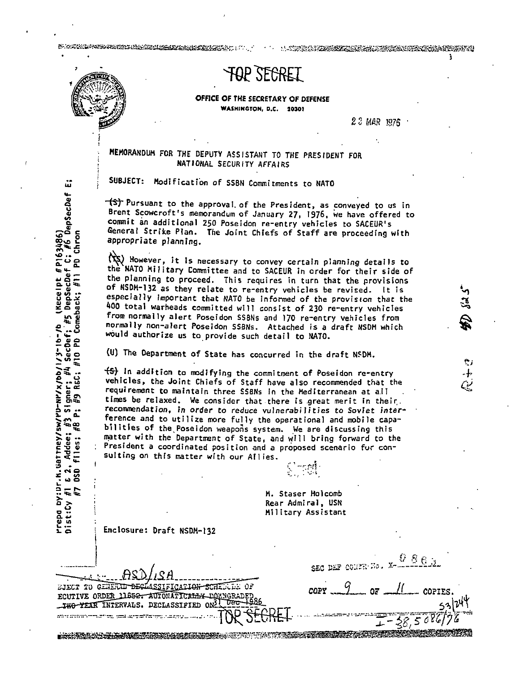B. G. ROMAN WAS THE GROUND CONTRACTOR OF THE CONTRACT OF THE CONTRACT OF THE CONTRACT OF THE CONTRACT OF THE C

A MARIA KEMBERALAN SEBELAH SERJA DI PASA

l

ر م .ৃ.

# **TOP SECRET**

OFFICE OF THE SECRETARY OF DEFENSE **WASHINGTON, D.C. 20201** 

23 MAR 1g75 ·

### MEMORANDUM FOR THE DEPUTY ASSISTANT TO THE PRESIDENT FOR NATIONAL SECURITY AffAIRS

SUBJECT: Modification of SSBN Commitments to NATO

 $-\frac{1}{3}$  Pursuant to the approval of the President, as conveyed to us in Brent Scowcroft's memorandum of January 27, 1976, we have offered to commit an additional 250 Poseidon re-entry vehicles to SACEUR's General Strike Plan. The Joint Chiefs of Staff are proceeding with appropriate planning.

 $\mathcal{P}(x)$  However, it is necessary to convey certain planning details to the NATO Military Committee and to SACEUR in order for their side of the planning to proceed. This requires in turn that the provisions<br>of NSDM-132 as they relate to re-entry vehicles be revised. It is especially important that NATO be informed of the provision that the<br>400 total warheads committed will consist of 230 re-entry vehicles<br>from normally alert Poseidon SSBNs and 170 re-entry vehicles from normally non-alert Poseidon SSBNs. Attached is a draft NSDM which would authorize us to provide such detail to NATO.

(U) The Department of State has concurred in the draft NSDM.

DE SANCH SOM DE SANCH MIT DE SANCH SOM DE SANCH MIT DE SANCH DE SANCH DE SANCH DE SANCH DE SANCH DE SANCH DE

.... The in addition to modifying the commitment of Poseidon re-entry vehicles, the Joint Chiefs of Staff have also recommended that the requirement to maintain three SSBNs in the Mediterranean at all times be relaxed. We consider that there is great merit in their.<br>recommendation, in order to reduce vulnerabilities to Soviet interference and to utilize more fully the operational and mobile capabilities of the Poseidon weapons system. We are discussing this matter with the Department of State, and will bring forward to the<br>President a coordinated position and a proposed scenario for con-<br>sulting on this matter with our Allies.

=>- .... •• :ca::.~ M. Staser Holcomb Rear Admiral, USN<br>Military Assistant<br>Enclosure: Draft NSDM-132

| $-4.80/13A$                                    |
|------------------------------------------------|
| SJECT TO GENERIT DESMASSIFICATION SCHEDULE OF  |
| ECUTIVE ORDER 11652. AUTOMATICALLY-DOMMORADED, |
| TWO YEAR INTERVALS. DECLASSIFIED ON L DEC 1986 |
| SECRET.                                        |
|                                                |

SEC DEF CONTRAND.  $O\overline{E}$ COPIES  $38,508$ 

üΰ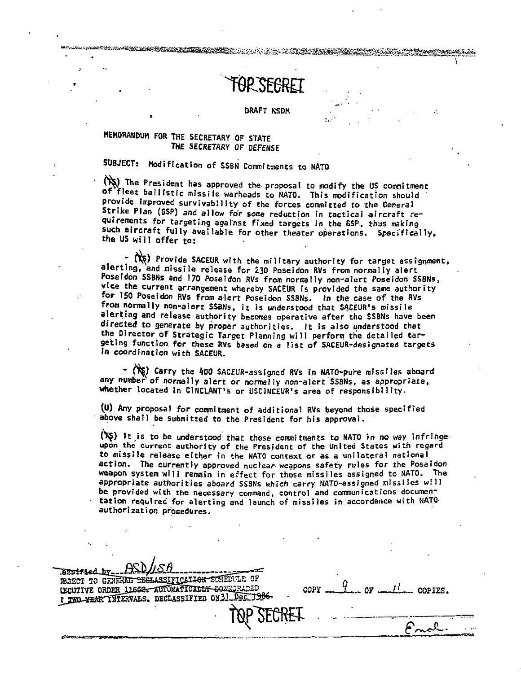KATERATURGAN DI MARATARA DI SERIE PERANG PERANG PERANG PERANG PERANG PERANG PERANG PERANG PERANG PERANG PERANG

#### DRAFT NSDM

### **MEMORANDUM FOR THE SECRETARY OF STATE** *THE SECRETARY* OF DEFENSE

,

## SUBJECT: Modification of SSBN Commitments to NATO

(NS) The President has approved the proposal to modify the US commitment of fleet ballistic missile warheads to NATO. This modification should provide improved survivability of the forces committed to the General Strike Plan (GSP) and allow fo'r some reduction in tactical aircraft requirements for targeting against fixed targets in the GSP, thus making such aircraft fully available for other theater operations. Specifically, the US will offer to:

 $\binom{n}{k}$  Provide SACEUR with the military authority for target assignment, alerting, and missile release for 230 Poseidon RVs from normally alert Poseidon SSBNs and 170 Poseidon RVs from normally non-alert Poseidon SSBNs, vice the current arrangement whereby SACEUR is provided the same authority for ISO Poseidon RVs from alert Poseidon SSBNs. In the case of the RVs from normally non-alert SSBNs, it is understood that SACEUR's missile alerting and release authority becomes operative after the SSBNs have been directed to generate by proper authorities. It is also understood that the Director of Strategic Target Planning will perform the detailed targeting function for these RVs based on a list of SACEUR-designated targets In coordination with SACEUR.

- (Kg) Carry the 400 SACEUR-assigned RVs in NATO-pure missiles aboard any number of normally alert or normally non-alert SSBNs, as appropriate, whether located in CINCLANT's or USCINCEUR's area of responsibility.

(\_U) Any proposal for commitment of additional RVs beyond those spec-ified above shall be submitted to the President for his approval.

 $(N<sub>S</sub>)$  It is to be understood that these commitments to NATO in no way infringeupon the current authority of the President of the United States with regard to missile release either in the NATO context or as a unilateral national action. The currently approved nuclear weapons safety rules for the Poseidon weapon system will remain in effect for those missiles assigned to NATO. The appropriate authorities aboard SSBNs which carry NATO-assigned missiles  $w$ <sup>111</sup> be provided with the necessary command, control and communications documentation required for alerting and launch of missiles in accordance with NATO author! zat ion procedures.

assified by THE TO CENERAL DEGLASSIFICATION SCHEDULE OF GOPY \_ GOPY \_ GENERAL OF R THO YEAR INTERVALS. DECLASSIFIED ON31 Dec 1986 TOP SECRET  $\mathcal{L}$  "  $\mathcal{L}$ "  $\mathcal{L}$ ".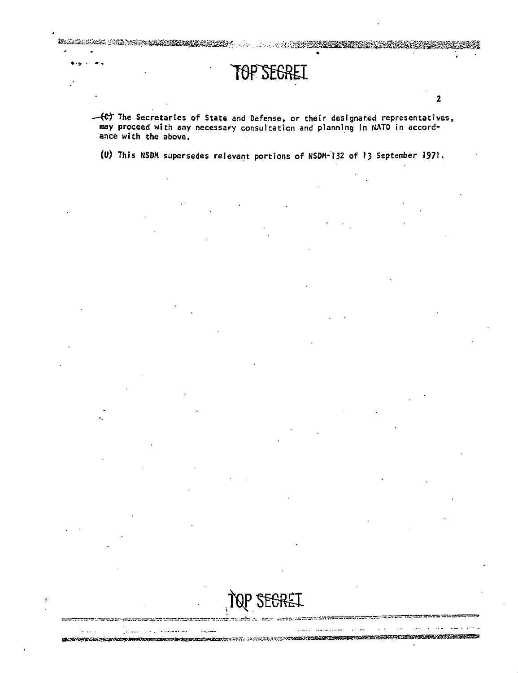-(e) The Secretaries of State and Defense, or their designated representatives, may proceed with any necessary consultation and planning in NATO in accordance with the above.

TOP SEGREI

A CONTRACTOR COMPANY AND A

 $\overline{2}$ 

In Contract to the contract of the contract of the second

(U) This NSDM supersedes relevant portions of NSDM-132 of 13 September 1971.

ELTRACHTEN ANDERSTRANDEN DER BENEREN BEREICHTEN DER AUF AUS AUS AN NEUTREICHER DER BEREICHTER DER BEREICHTER D

 $\cdots$ 

 $\sim$   $\sim$   $\sim$   $\sim$   $\sim$   $\sim$   $\sim$   $\sim$ 

 $\ddot{\phantom{1}}$ 

 $\ddotsc$ 

Щ.

 $1.1427 - 1.0$ 

ومالعميست والراويد وسواقي

 $-$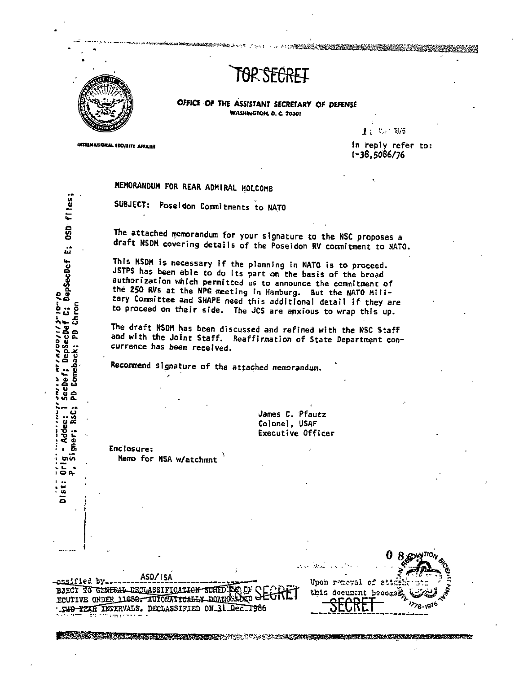

איי או הוא הייסטרונגרים<br>Sechef; DepSechef C; DepSechef E; OSD fles;

Comeback; PD Chron

g

REC:

gner;

Addee:

 $\sqrt{2}$ 

Dist:

თო  $552$ 

**INTELNATIONAL SECURITY AFFAIRS** 

# AR SFARET

**ANG REAL PROPERTY AND LOCAL** 

OFFICE OF THE ASSISTANT SECRETARY OF DEFENSE WASHINGTON, D. C. 20301

 $1: R<sup>2</sup> 8.5$ 

In reply refer to:  $1 - 38.5086/76$ 

## MEMORANDUM FOR REAR ADMIRAL HOLCOMB

SUBJECT: Poseidon Commitments to NATO

**ታ ክል ፕሮ** ድሮ ታ

The attached memorandum for your signature to the NSC proposes a draft NSDM covering details of the Poseidon RV commitment to NATO.

This NSDM is necessary if the planning in NATO is to proceed. JSTPS has been able to do its part on the basis of the broad authorization which permitted us to announce the commitment of the 250 RVs at the NPG meeting in Hamburg. But the NATO Military Committee and SHAPE need this additional detail if they are to proceed on their side. The JCS are anxious to wrap this up.

The draft NSDM has been discussed and refined with the NSC Staff and with the Joint Staff. Reaffirmation of State Department concurrence has been received.

Recommend signature of the attached memorandum.

James C. Pfautz Colonel, USAF Executive Officer

**Enclosure:** Nemo for NSA w/atchmnt

ASD/15A assified by... BJECT TO GENERAL DECLASSIFICATION SCREDULE OF CL TWO-YEAR INTERVALS. DECLASSIFIED ON 31 Dec. 1986

|  | the Warehouse of the c  |  |  |
|--|-------------------------|--|--|
|  | Upon remeval of attmen- |  |  |
|  | this document becomes   |  |  |
|  |                         |  |  |